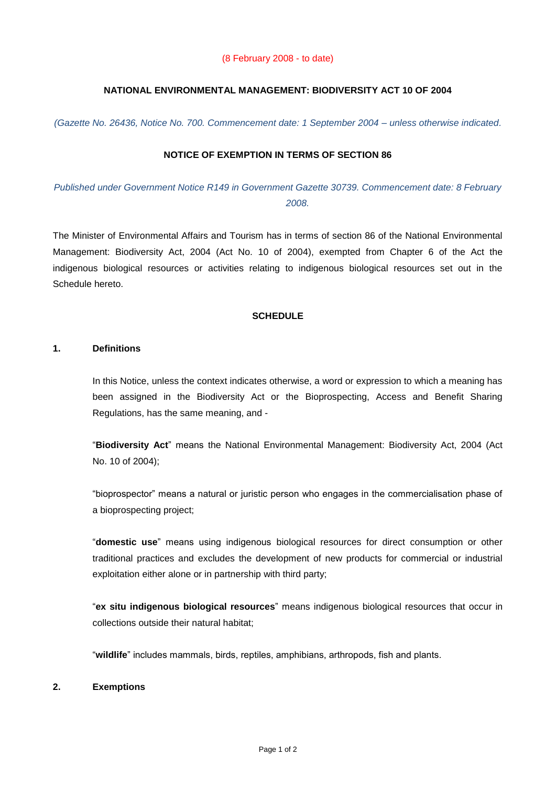### (8 February 2008 - to date)

# **NATIONAL ENVIRONMENTAL MANAGEMENT: BIODIVERSITY ACT 10 OF 2004**

*(Gazette No. 26436, Notice No. 700. Commencement date: 1 September 2004 – unless otherwise indicated.* 

## **NOTICE OF EXEMPTION IN TERMS OF SECTION 86**

*Published under Government Notice R149 in Government Gazette 30739. Commencement date: 8 February 2008.*

The Minister of Environmental Affairs and Tourism has in terms of section 86 of the National Environmental Management: Biodiversity Act, 2004 (Act No. 10 of 2004), exempted from Chapter 6 of the Act the indigenous biological resources or activities relating to indigenous biological resources set out in the Schedule hereto.

### **SCHEDULE**

#### **1. Definitions**

In this Notice, unless the context indicates otherwise, a word or expression to which a meaning has been assigned in the Biodiversity Act or the Bioprospecting, Access and Benefit Sharing Regulations, has the same meaning, and -

"**Biodiversity Act**" means the National Environmental Management: Biodiversity Act, 2004 (Act No. 10 of 2004);

"bioprospector" means a natural or juristic person who engages in the commercialisation phase of a bioprospecting project;

"**domestic use**" means using indigenous biological resources for direct consumption or other traditional practices and excludes the development of new products for commercial or industrial exploitation either alone or in partnership with third party;

"**ex situ indigenous biological resources**" means indigenous biological resources that occur in collections outside their natural habitat;

"**wildlife**" includes mammals, birds, reptiles, amphibians, arthropods, fish and plants.

#### **2. Exemptions**